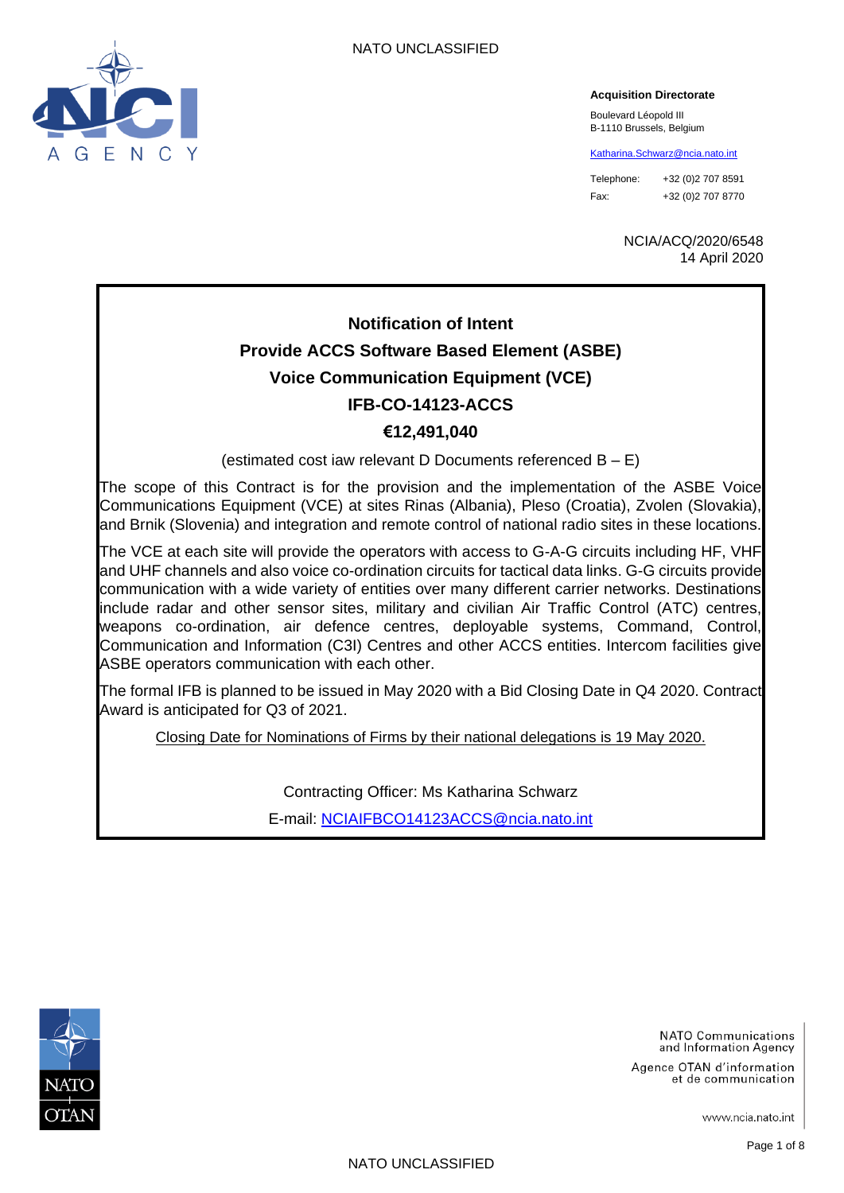

#### **Acquisition Directorate**

Boulevard Léopold III B-1110 Brussels, Belgium

[Katharina.Schwarz@ncia.nato.int](mailto:Katharina.Schwarz@ncia.nato.int)

Telephone: +32 (0)2 707 8591 Fax: +32 (0)2 707 8770

> NCIA/ACQ/2020/6548 14 April 2020

# **Notification of Intent Provide ACCS Software Based Element (ASBE) Voice Communication Equipment (VCE) IFB-CO-14123-ACCS €12,491,040**

(estimated cost iaw relevant D Documents referenced B – E)

The scope of this Contract is for the provision and the implementation of the ASBE Voice Communications Equipment (VCE) at sites Rinas (Albania), Pleso (Croatia), Zvolen (Slovakia), and Brnik (Slovenia) and integration and remote control of national radio sites in these locations.

The VCE at each site will provide the operators with access to G-A-G circuits including HF, VHF and UHF channels and also voice co-ordination circuits for tactical data links. G-G circuits provide communication with a wide variety of entities over many different carrier networks. Destinations include radar and other sensor sites, military and civilian Air Traffic Control (ATC) centres, weapons co-ordination, air defence centres, deployable systems, Command, Control, Communication and Information (C3I) Centres and other ACCS entities. Intercom facilities give ASBE operators communication with each other.

The formal IFB is planned to be issued in May 2020 with a Bid Closing Date in Q4 2020. Contract Award is anticipated for Q3 of 2021.

Closing Date for Nominations of Firms by their national delegations is 19 May 2020.

Contracting Officer: Ms Katharina Schwarz

E-mail: [NCIAIFBCO14123ACCS@ncia.nato.int](mailto:NCIAIFBCO14123ACCS@ncia.nato.int)



NATO Communications and Information Agency

Agence OTAN d'information et de communication

www.ncia.nato.int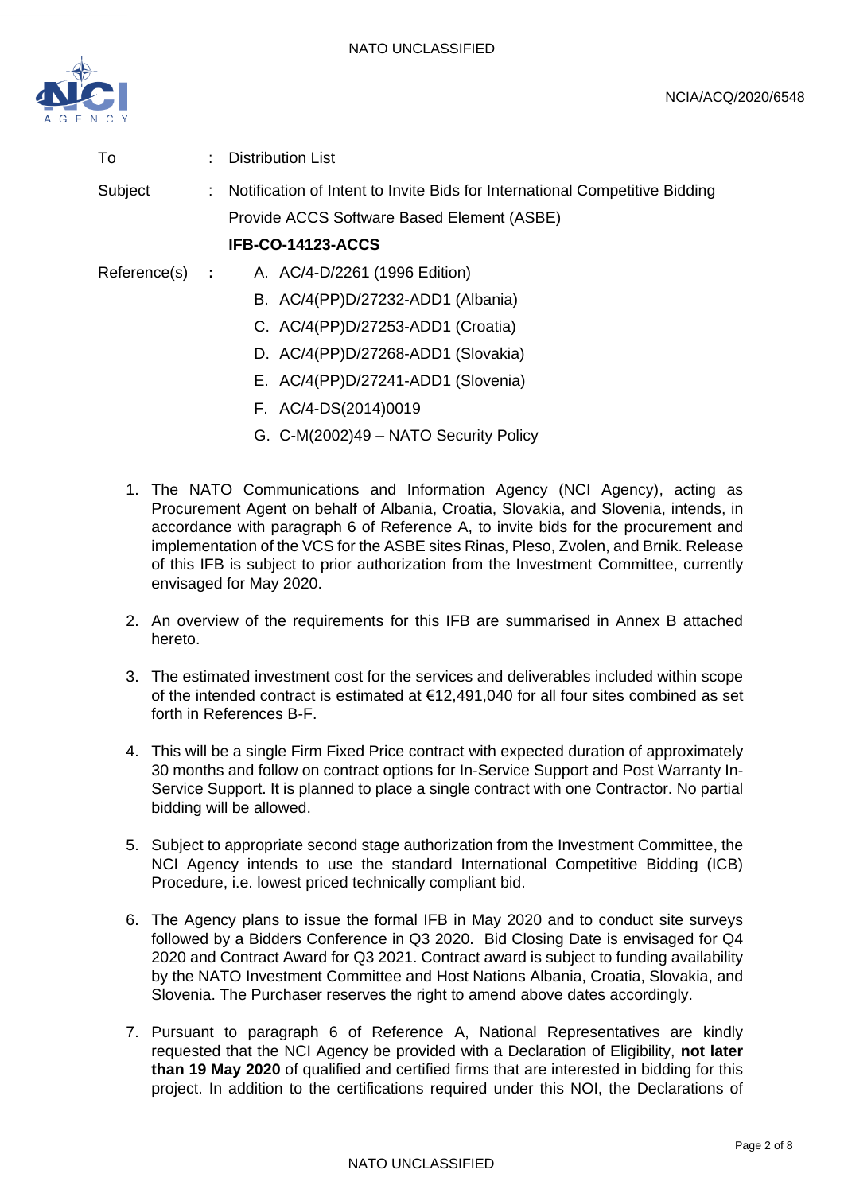

To : Distribution List

Subject : Notification of Intent to Invite Bids for International Competitive Bidding Provide ACCS Software Based Element (ASBE)

#### **IFB-CO-14123-ACCS**

- Reference(s) **:** A. AC/4-D/2261 (1996 Edition)
	- B. AC/4(PP)D/27232-ADD1 (Albania)
	- C. AC/4(PP)D/27253-ADD1 (Croatia)
	- D. AC/4(PP)D/27268-ADD1 (Slovakia)
	- E. AC/4(PP)D/27241-ADD1 (Slovenia)
	- F. AC/4-DS(2014)0019
	- G. C-M(2002)49 NATO Security Policy
	- 1. The NATO Communications and Information Agency (NCI Agency), acting as Procurement Agent on behalf of Albania, Croatia, Slovakia, and Slovenia, intends, in accordance with paragraph 6 of Reference A, to invite bids for the procurement and implementation of the VCS for the ASBE sites Rinas, Pleso, Zvolen, and Brnik. Release of this IFB is subject to prior authorization from the Investment Committee, currently envisaged for May 2020.
	- 2. An overview of the requirements for this IFB are summarised in Annex B attached hereto.
	- 3. The estimated investment cost for the services and deliverables included within scope of the intended contract is estimated at €12,491,040 for all four sites combined as set forth in References B-F.
	- 4. This will be a single Firm Fixed Price contract with expected duration of approximately 30 months and follow on contract options for In-Service Support and Post Warranty In-Service Support. It is planned to place a single contract with one Contractor. No partial bidding will be allowed.
	- 5. Subject to appropriate second stage authorization from the Investment Committee, the NCI Agency intends to use the standard International Competitive Bidding (ICB) Procedure, i.e. lowest priced technically compliant bid.
	- 6. The Agency plans to issue the formal IFB in May 2020 and to conduct site surveys followed by a Bidders Conference in Q3 2020. Bid Closing Date is envisaged for Q4 2020 and Contract Award for Q3 2021. Contract award is subject to funding availability by the NATO Investment Committee and Host Nations Albania, Croatia, Slovakia, and Slovenia. The Purchaser reserves the right to amend above dates accordingly.
	- 7. Pursuant to paragraph 6 of Reference A, National Representatives are kindly requested that the NCI Agency be provided with a Declaration of Eligibility, **not later than 19 May 2020** of qualified and certified firms that are interested in bidding for this project. In addition to the certifications required under this NOI, the Declarations of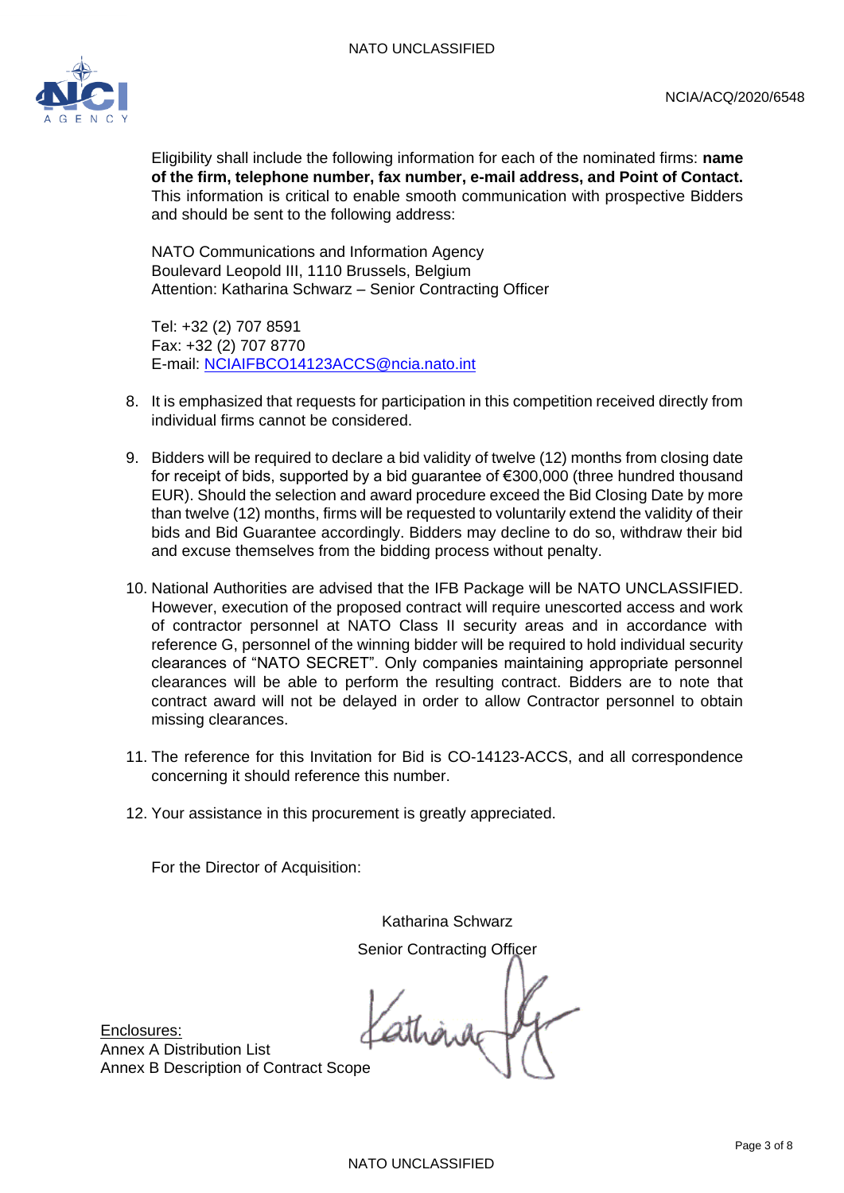

Eligibility shall include the following information for each of the nominated firms: **name of the firm, telephone number, fax number, e-mail address, and Point of Contact.** This information is critical to enable smooth communication with prospective Bidders and should be sent to the following address:

NATO Communications and Information Agency Boulevard Leopold III, 1110 Brussels, Belgium Attention: Katharina Schwarz – Senior Contracting Officer

Tel: +32 (2) 707 8591 Fax: +32 (2) 707 8770 E-mail: [NCIAIFBCO14123ACCS@ncia.nato.int](mailto:NCIAIFBCO14123ACCS@ncia.nato.int)

- 8. It is emphasized that requests for participation in this competition received directly from individual firms cannot be considered.
- 9. Bidders will be required to declare a bid validity of twelve (12) months from closing date for receipt of bids, supported by a bid guarantee of €300,000 (three hundred thousand EUR). Should the selection and award procedure exceed the Bid Closing Date by more than twelve (12) months, firms will be requested to voluntarily extend the validity of their bids and Bid Guarantee accordingly. Bidders may decline to do so, withdraw their bid and excuse themselves from the bidding process without penalty.
- 10. National Authorities are advised that the IFB Package will be NATO UNCLASSIFIED. However, execution of the proposed contract will require unescorted access and work of contractor personnel at NATO Class II security areas and in accordance with reference G, personnel of the winning bidder will be required to hold individual security clearances of "NATO SECRET". Only companies maintaining appropriate personnel clearances will be able to perform the resulting contract. Bidders are to note that contract award will not be delayed in order to allow Contractor personnel to obtain missing clearances.
- 11. The reference for this Invitation for Bid is CO-14123-ACCS, and all correspondence concerning it should reference this number.
- 12. Your assistance in this procurement is greatly appreciated.

For the Director of Acquisition:

Katharina Schwarz Senior Contracting Officer

athàng

Enclosures: Annex A Distribution List Annex B Description of Contract Scope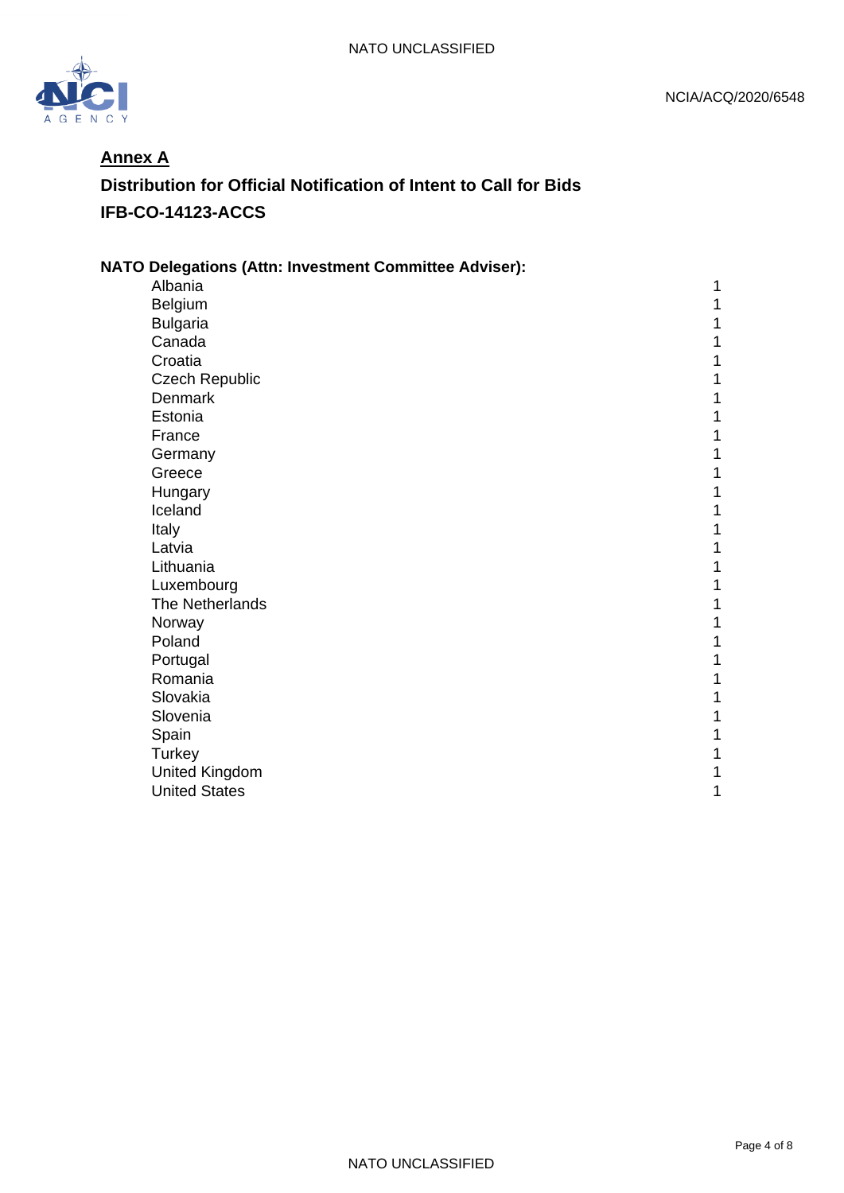

### **Annex A**

# **Distribution for Official Notification of Intent to Call for Bids IFB-CO-14123-ACCS**

| <b>NATO Delegations (Attn: Investment Committee Adviser):</b> |   |
|---------------------------------------------------------------|---|
| Albania                                                       |   |
| Belgium                                                       | 1 |
| <b>Bulgaria</b>                                               | 1 |
| Canada                                                        | 1 |
| Croatia                                                       | 1 |
| <b>Czech Republic</b>                                         |   |
| <b>Denmark</b>                                                | 1 |
| Estonia                                                       | 1 |
| France                                                        | 1 |
| Germany                                                       | 1 |
| Greece                                                        |   |
| Hungary                                                       | 1 |
| Iceland                                                       | 1 |
| Italy                                                         | 1 |
| Latvia                                                        |   |
| Lithuania                                                     |   |
| Luxembourg                                                    | 1 |
| The Netherlands                                               | 1 |
| Norway                                                        | 1 |
| Poland                                                        | 1 |
| Portugal                                                      |   |
| Romania                                                       |   |
| Slovakia                                                      | 1 |
| Slovenia                                                      | 1 |
| Spain                                                         | 1 |
| Turkey                                                        |   |
| <b>United Kingdom</b>                                         |   |
| <b>United States</b>                                          | 1 |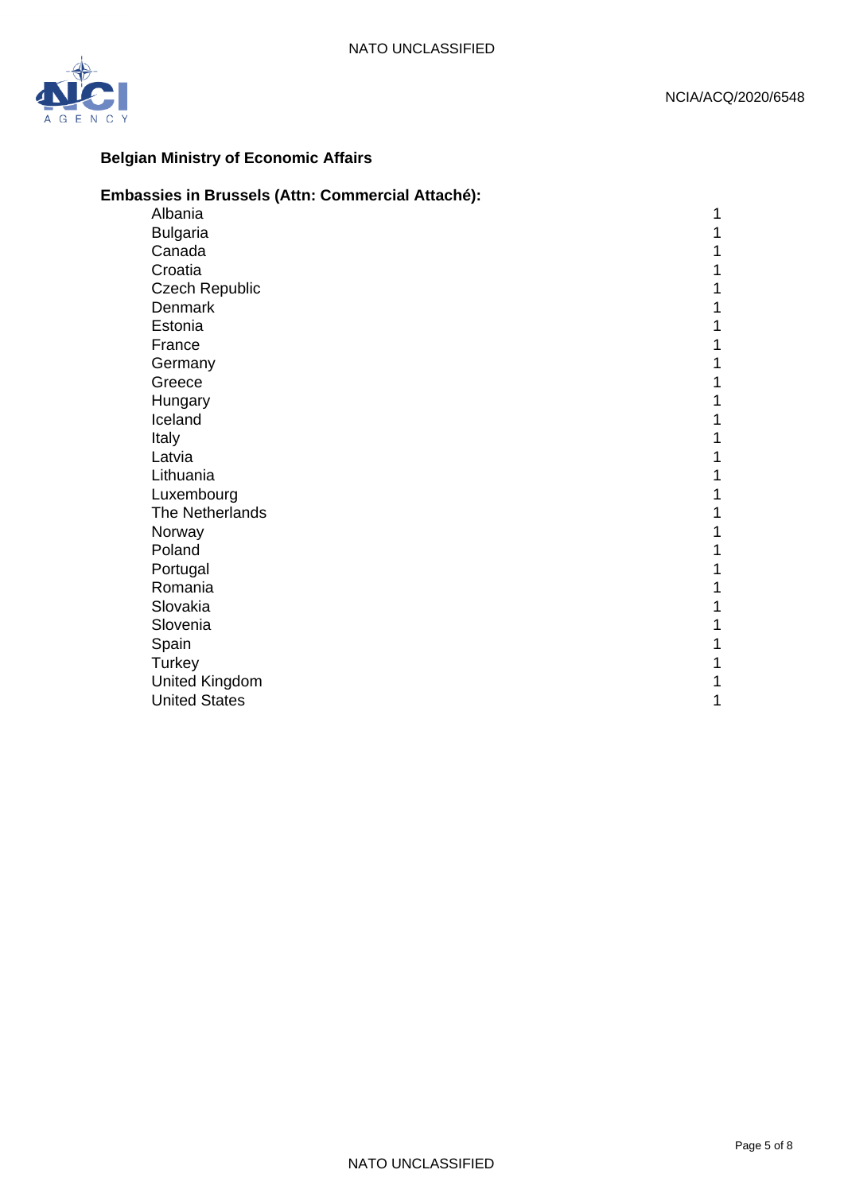

### **Belgian Ministry of Economic Affairs**

### **Embassies in Brussels (Attn: Commercial Attaché):**

| Albania               |   |
|-----------------------|---|
| <b>Bulgaria</b>       |   |
| Canada                |   |
| Croatia               |   |
| <b>Czech Republic</b> |   |
| <b>Denmark</b>        |   |
| Estonia               |   |
| France                |   |
| Germany               |   |
| Greece                |   |
| Hungary               |   |
| Iceland               |   |
| Italy                 |   |
| Latvia                |   |
| Lithuania             |   |
| Luxembourg            |   |
| The Netherlands       |   |
| Norway                |   |
| Poland                |   |
| Portugal              |   |
| Romania               |   |
| Slovakia              |   |
| Slovenia              |   |
| Spain                 |   |
| Turkey                |   |
| <b>United Kingdom</b> |   |
| <b>United States</b>  | 1 |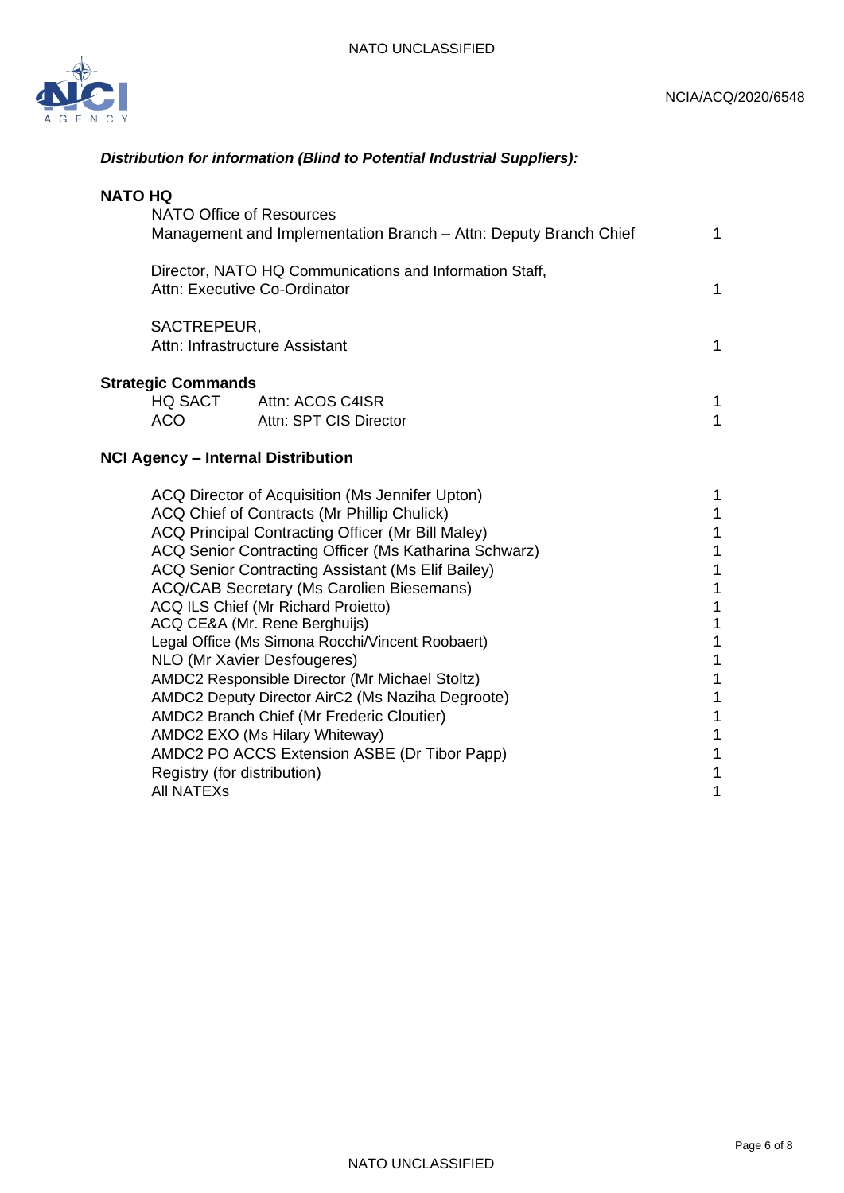

### *Distribution for information (Blind to Potential Industrial Suppliers):*

| <b>NATO HQ</b><br>NATO Office of Resources<br>Management and Implementation Branch - Attn: Deputy Branch Chief |                                                    |  |  |  |
|----------------------------------------------------------------------------------------------------------------|----------------------------------------------------|--|--|--|
| Director, NATO HQ Communications and Information Staff,<br>Attn: Executive Co-Ordinator                        |                                                    |  |  |  |
| SACTREPEUR,<br>Attn: Infrastructure Assistant                                                                  |                                                    |  |  |  |
| <b>Strategic Commands</b><br>ACO                                                                               | HQ SACT Attn: ACOS C4ISR<br>Attn: SPT CIS Director |  |  |  |

### **NCI Agency – Internal Distribution**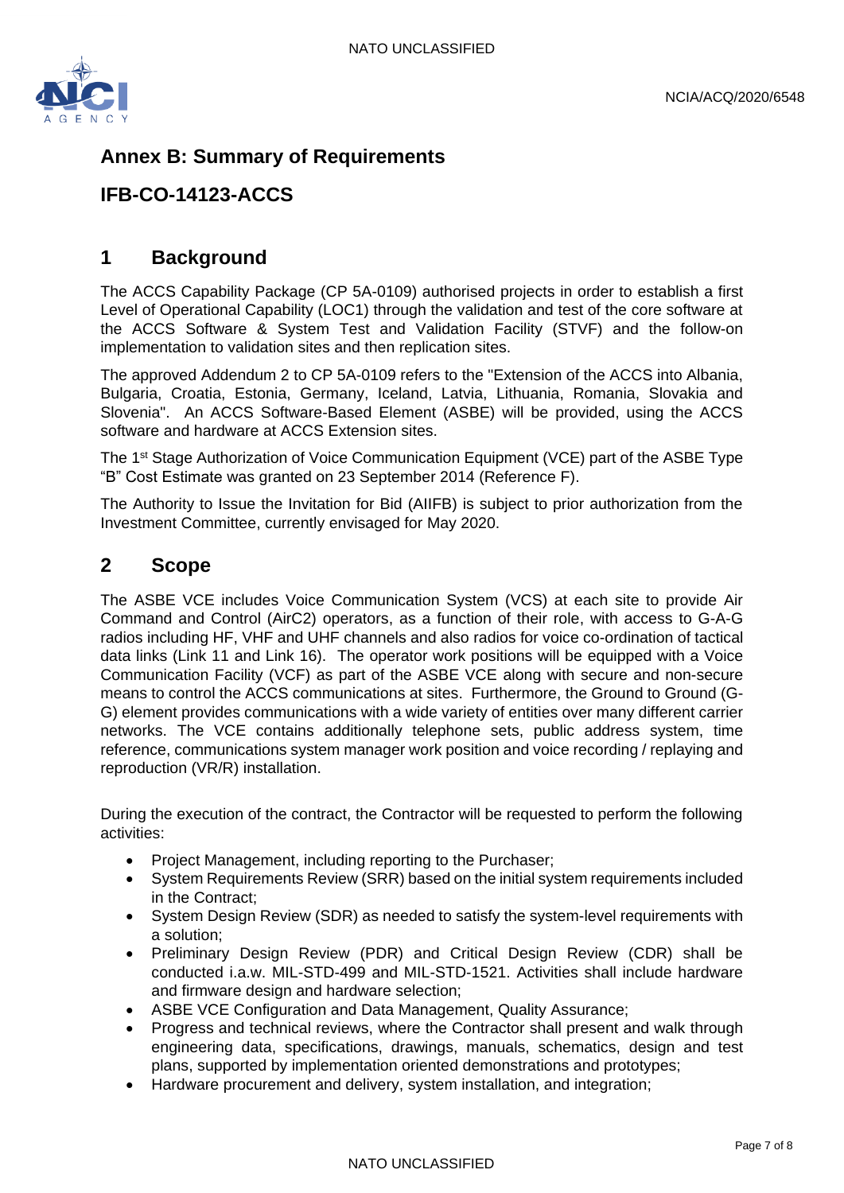

# **Annex B: Summary of Requirements**

## **IFB-CO-14123-ACCS**

### **1 Background**

The ACCS Capability Package (CP 5A-0109) authorised projects in order to establish a first Level of Operational Capability (LOC1) through the validation and test of the core software at the ACCS Software & System Test and Validation Facility (STVF) and the follow-on implementation to validation sites and then replication sites.

The approved Addendum 2 to CP 5A-0109 refers to the "Extension of the ACCS into Albania, Bulgaria, Croatia, Estonia, Germany, Iceland, Latvia, Lithuania, Romania, Slovakia and Slovenia". An ACCS Software-Based Element (ASBE) will be provided, using the ACCS software and hardware at ACCS Extension sites.

The 1<sup>st</sup> Stage Authorization of Voice Communication Equipment (VCE) part of the ASBE Type "B" Cost Estimate was granted on 23 September 2014 (Reference F).

The Authority to Issue the Invitation for Bid (AIIFB) is subject to prior authorization from the Investment Committee, currently envisaged for May 2020.

### **2 Scope**

The ASBE VCE includes Voice Communication System (VCS) at each site to provide Air Command and Control (AirC2) operators, as a function of their role, with access to G-A-G radios including HF, VHF and UHF channels and also radios for voice co-ordination of tactical data links (Link 11 and Link 16). The operator work positions will be equipped with a Voice Communication Facility (VCF) as part of the ASBE VCE along with secure and non-secure means to control the ACCS communications at sites. Furthermore, the Ground to Ground (G-G) element provides communications with a wide variety of entities over many different carrier networks. The VCE contains additionally telephone sets, public address system, time reference, communications system manager work position and voice recording / replaying and reproduction (VR/R) installation.

During the execution of the contract, the Contractor will be requested to perform the following activities:

- Project Management, including reporting to the Purchaser;
- System Requirements Review (SRR) based on the initial system requirements included in the Contract;
- System Design Review (SDR) as needed to satisfy the system-level requirements with a solution;
- Preliminary Design Review (PDR) and Critical Design Review (CDR) shall be conducted i.a.w. MIL-STD-499 and MIL-STD-1521. Activities shall include hardware and firmware design and hardware selection;
- ASBE VCE Configuration and Data Management, Quality Assurance;
- Progress and technical reviews, where the Contractor shall present and walk through engineering data, specifications, drawings, manuals, schematics, design and test plans, supported by implementation oriented demonstrations and prototypes;
- Hardware procurement and delivery, system installation, and integration;